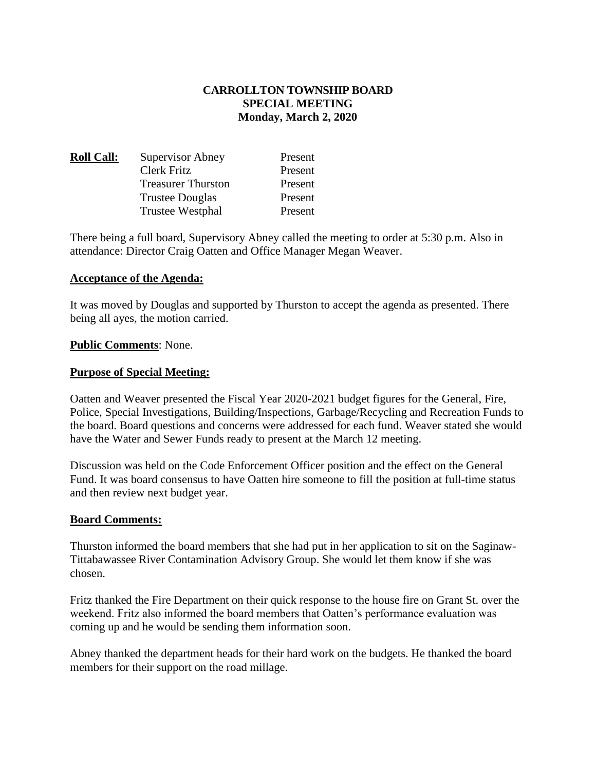## **CARROLLTON TOWNSHIP BOARD SPECIAL MEETING Monday, March 2, 2020**

| <u> Roll Call:</u> | <b>Supervisor Abney</b>   | Present |
|--------------------|---------------------------|---------|
|                    | Clerk Fritz               | Present |
|                    | <b>Treasurer Thurston</b> | Present |
|                    | <b>Trustee Douglas</b>    | Present |
|                    | Trustee Westphal          | Present |

There being a full board, Supervisory Abney called the meeting to order at 5:30 p.m. Also in attendance: Director Craig Oatten and Office Manager Megan Weaver.

### **Acceptance of the Agenda:**

It was moved by Douglas and supported by Thurston to accept the agenda as presented. There being all ayes, the motion carried.

### **Public Comments**: None.

### **Purpose of Special Meeting:**

Oatten and Weaver presented the Fiscal Year 2020-2021 budget figures for the General, Fire, Police, Special Investigations, Building/Inspections, Garbage/Recycling and Recreation Funds to the board. Board questions and concerns were addressed for each fund. Weaver stated she would have the Water and Sewer Funds ready to present at the March 12 meeting.

Discussion was held on the Code Enforcement Officer position and the effect on the General Fund. It was board consensus to have Oatten hire someone to fill the position at full-time status and then review next budget year.

#### **Board Comments:**

Thurston informed the board members that she had put in her application to sit on the Saginaw-Tittabawassee River Contamination Advisory Group. She would let them know if she was chosen.

Fritz thanked the Fire Department on their quick response to the house fire on Grant St. over the weekend. Fritz also informed the board members that Oatten's performance evaluation was coming up and he would be sending them information soon.

Abney thanked the department heads for their hard work on the budgets. He thanked the board members for their support on the road millage.